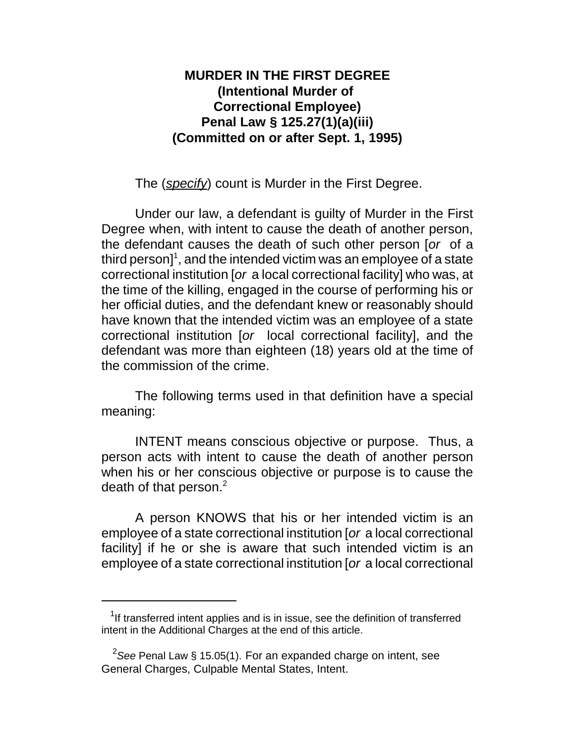## **MURDER IN THE FIRST DEGREE (Intentional Murder of Correctional Employee) Penal Law § 125.27(1)(a)(iii) (Committed on or after Sept. 1, 1995)**

The (*specify*) count is Murder in the First Degree.

Under our law, a defendant is guilty of Murder in the First Degree when, with intent to cause the death of another person, the defendant causes the death of such other person [*or* of a third person] $^1$ , and the intended victim was an employee of a state correctional institution [*or* a local correctional facility] who was, at the time of the killing, engaged in the course of performing his or her official duties, and the defendant knew or reasonably should have known that the intended victim was an employee of a state correctional institution [*or* local correctional facility], and the defendant was more than eighteen (18) years old at the time of the commission of the crime.

The following terms used in that definition have a special meaning:

INTENT means conscious objective or purpose. Thus, a person acts with intent to cause the death of another person when his or her conscious objective or purpose is to cause the death of that person. $2$ 

A person KNOWS that his or her intended victim is an employee of a state correctional institution [*or* a local correctional facility] if he or she is aware that such intended victim is an employee of a state correctional institution [*or* a local correctional

 $1$ If transferred intent applies and is in issue, see the definition of transferred intent in the Additional Charges at the end of this article.

<sup>2</sup> *See* Penal Law § 15.05(1). For an expanded charge on intent, see General Charges, Culpable Mental States, Intent.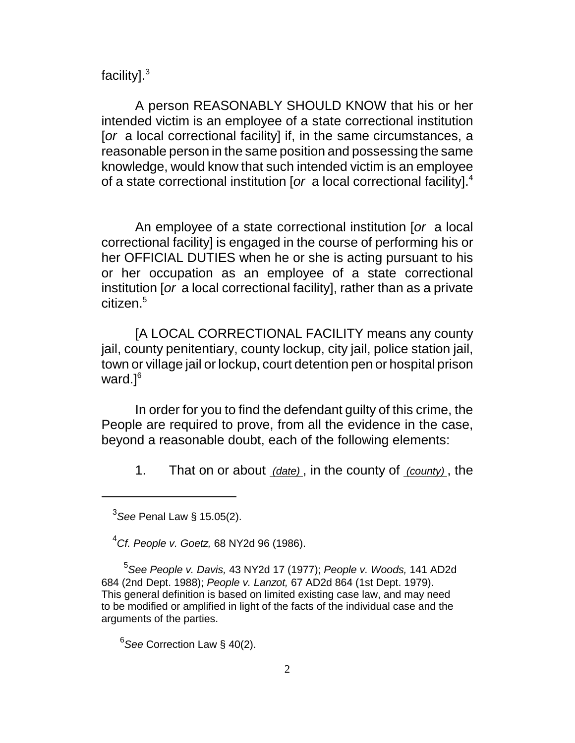## facility].<sup>3</sup>

A person REASONABLY SHOULD KNOW that his or her intended victim is an employee of a state correctional institution [*or* a local correctional facility] if, in the same circumstances, a reasonable person in the same position and possessing the same knowledge, would know that such intended victim is an employee of a state correctional institution [*or* a local correctional facility].<sup>4</sup>

An employee of a state correctional institution [*or* a local correctional facility] is engaged in the course of performing his or her OFFICIAL DUTIES when he or she is acting pursuant to his or her occupation as an employee of a state correctional institution [*or* a local correctional facility], rather than as a private citizen.<sup>5</sup>

[A LOCAL CORRECTIONAL FACILITY means any county jail, county penitentiary, county lockup, city jail, police station jail, town or village jail or lockup, court detention pen or hospital prison ward. $]^{6}$ 

In order for you to find the defendant guilty of this crime, the People are required to prove, from all the evidence in the case, beyond a reasonable doubt, each of the following elements:

1. That on or about *(date)* , in the county of *(county)* , the

<sup>4</sup>*Cf. People v. Goetz,* 68 NY2d 96 (1986).

5 *See People v. Davis,* 43 NY2d 17 (1977); *People v. Woods,* 141 AD2d 684 (2nd Dept. 1988); *People v. Lanzot,* 67 AD2d 864 (1st Dept. 1979). This general definition is based on limited existing case law, and may need to be modified or amplified in light of the facts of the individual case and the arguments of the parties.

6 *See* Correction Law § 40(2).

<sup>3</sup> *See* Penal Law § 15.05(2).